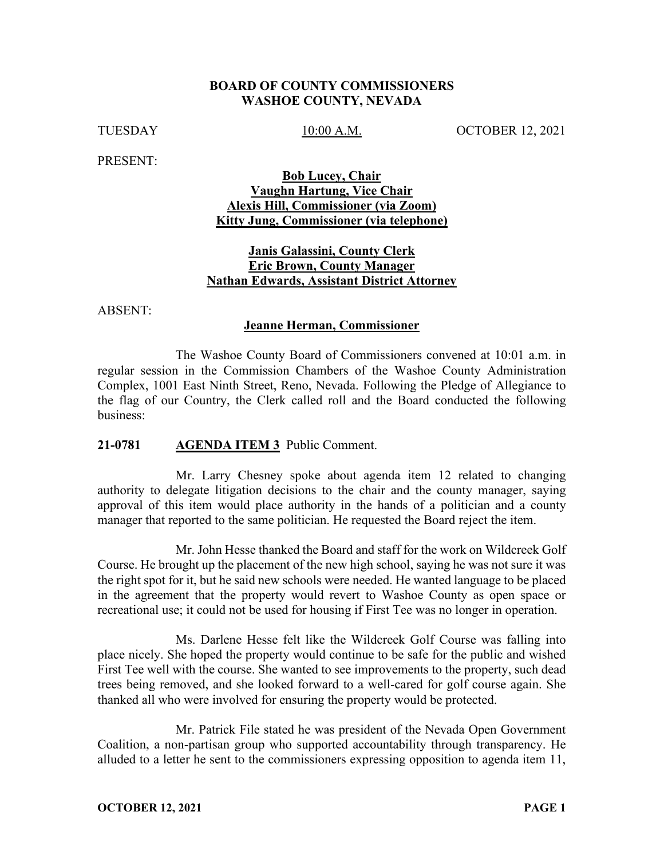#### **BOARD OF COUNTY COMMISSIONERS WASHOE COUNTY, NEVADA**

TUESDAY 10:00 A.M. OCTOBER 12, 2021

PRESENT:

**Bob Lucey, Chair Vaughn Hartung, Vice Chair Alexis Hill, Commissioner (via Zoom) Kitty Jung, Commissioner (via telephone)**

### **Janis Galassini, County Clerk Eric Brown, County Manager Nathan Edwards, Assistant District Attorney**

ABSENT:

#### **Jeanne Herman, Commissioner**

The Washoe County Board of Commissioners convened at 10:01 a.m. in regular session in the Commission Chambers of the Washoe County Administration Complex, 1001 East Ninth Street, Reno, Nevada. Following the Pledge of Allegiance to the flag of our Country, the Clerk called roll and the Board conducted the following business:

#### **21-0781 AGENDA ITEM 3** Public Comment.

Mr. Larry Chesney spoke about agenda item 12 related to changing authority to delegate litigation decisions to the chair and the county manager, saying approval of this item would place authority in the hands of a politician and a county manager that reported to the same politician. He requested the Board reject the item.

Mr. John Hesse thanked the Board and staff for the work on Wildcreek Golf Course. He brought up the placement of the new high school, saying he was not sure it was the right spot for it, but he said new schools were needed. He wanted language to be placed in the agreement that the property would revert to Washoe County as open space or recreational use; it could not be used for housing if First Tee was no longer in operation.

Ms. Darlene Hesse felt like the Wildcreek Golf Course was falling into place nicely. She hoped the property would continue to be safe for the public and wished First Tee well with the course. She wanted to see improvements to the property, such dead trees being removed, and she looked forward to a well-cared for golf course again. She thanked all who were involved for ensuring the property would be protected.

Mr. Patrick File stated he was president of the Nevada Open Government Coalition, a non-partisan group who supported accountability through transparency. He alluded to a letter he sent to the commissioners expressing opposition to agenda item 11,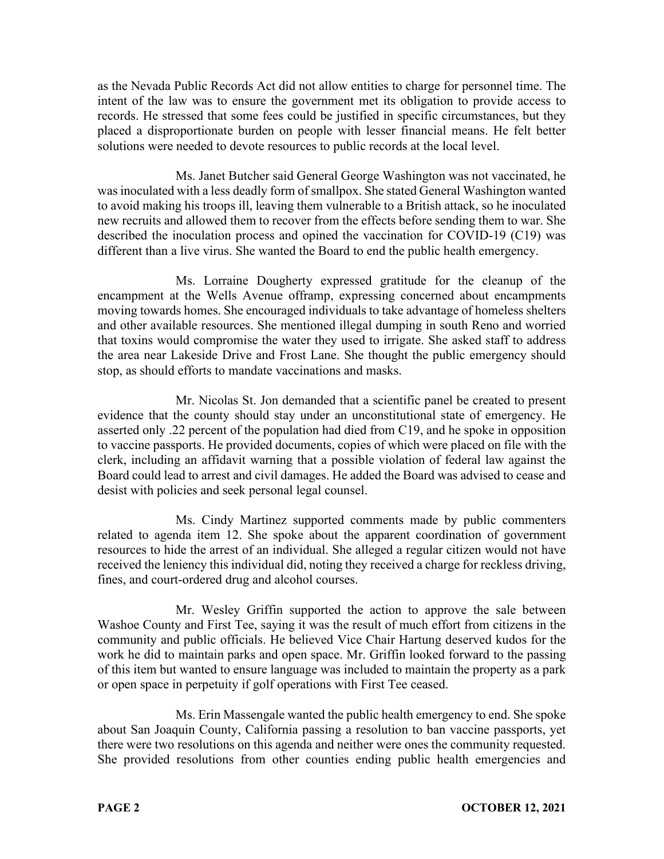as the Nevada Public Records Act did not allow entities to charge for personnel time. The intent of the law was to ensure the government met its obligation to provide access to records. He stressed that some fees could be justified in specific circumstances, but they placed a disproportionate burden on people with lesser financial means. He felt better solutions were needed to devote resources to public records at the local level.

Ms. Janet Butcher said General George Washington was not vaccinated, he was inoculated with a less deadly form of smallpox. She stated General Washington wanted to avoid making his troops ill, leaving them vulnerable to a British attack, so he inoculated new recruits and allowed them to recover from the effects before sending them to war. She described the inoculation process and opined the vaccination for COVID-19 (C19) was different than a live virus. She wanted the Board to end the public health emergency.

Ms. Lorraine Dougherty expressed gratitude for the cleanup of the encampment at the Wells Avenue offramp, expressing concerned about encampments moving towards homes. She encouraged individuals to take advantage of homeless shelters and other available resources. She mentioned illegal dumping in south Reno and worried that toxins would compromise the water they used to irrigate. She asked staff to address the area near Lakeside Drive and Frost Lane. She thought the public emergency should stop, as should efforts to mandate vaccinations and masks.

Mr. Nicolas St. Jon demanded that a scientific panel be created to present evidence that the county should stay under an unconstitutional state of emergency. He asserted only .22 percent of the population had died from C19, and he spoke in opposition to vaccine passports. He provided documents, copies of which were placed on file with the clerk, including an affidavit warning that a possible violation of federal law against the Board could lead to arrest and civil damages. He added the Board was advised to cease and desist with policies and seek personal legal counsel.

Ms. Cindy Martinez supported comments made by public commenters related to agenda item 12. She spoke about the apparent coordination of government resources to hide the arrest of an individual. She alleged a regular citizen would not have received the leniency this individual did, noting they received a charge for reckless driving, fines, and court-ordered drug and alcohol courses.

Mr. Wesley Griffin supported the action to approve the sale between Washoe County and First Tee, saying it was the result of much effort from citizens in the community and public officials. He believed Vice Chair Hartung deserved kudos for the work he did to maintain parks and open space. Mr. Griffin looked forward to the passing of this item but wanted to ensure language was included to maintain the property as a park or open space in perpetuity if golf operations with First Tee ceased.

Ms. Erin Massengale wanted the public health emergency to end. She spoke about San Joaquin County, California passing a resolution to ban vaccine passports, yet there were two resolutions on this agenda and neither were ones the community requested. She provided resolutions from other counties ending public health emergencies and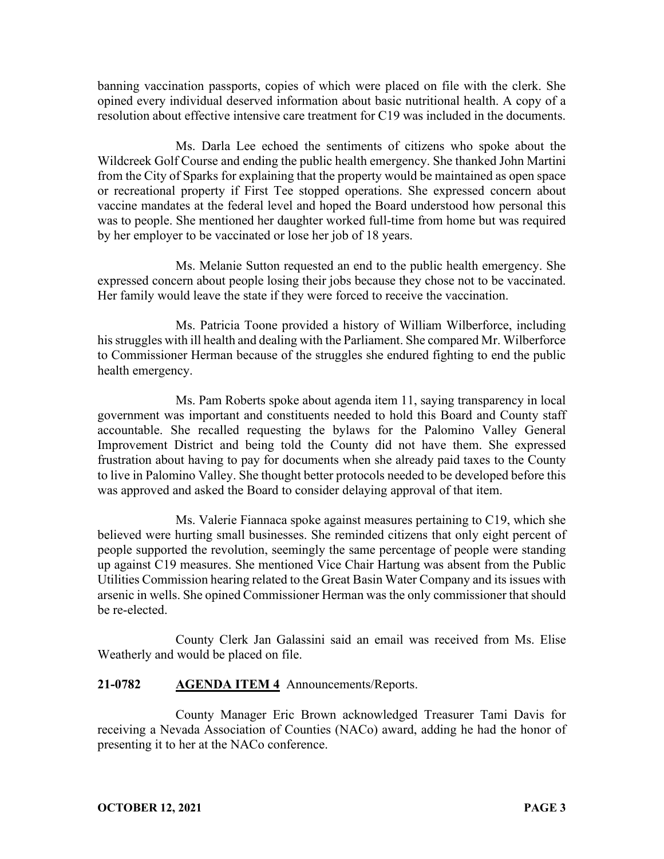banning vaccination passports, copies of which were placed on file with the clerk. She opined every individual deserved information about basic nutritional health. A copy of a resolution about effective intensive care treatment for C19 was included in the documents.

Ms. Darla Lee echoed the sentiments of citizens who spoke about the Wildcreek Golf Course and ending the public health emergency. She thanked John Martini from the City of Sparks for explaining that the property would be maintained as open space or recreational property if First Tee stopped operations. She expressed concern about vaccine mandates at the federal level and hoped the Board understood how personal this was to people. She mentioned her daughter worked full-time from home but was required by her employer to be vaccinated or lose her job of 18 years.

Ms. Melanie Sutton requested an end to the public health emergency. She expressed concern about people losing their jobs because they chose not to be vaccinated. Her family would leave the state if they were forced to receive the vaccination.

Ms. Patricia Toone provided a history of William Wilberforce, including his struggles with ill health and dealing with the Parliament. She compared Mr. Wilberforce to Commissioner Herman because of the struggles she endured fighting to end the public health emergency.

Ms. Pam Roberts spoke about agenda item 11, saying transparency in local government was important and constituents needed to hold this Board and County staff accountable. She recalled requesting the bylaws for the Palomino Valley General Improvement District and being told the County did not have them. She expressed frustration about having to pay for documents when she already paid taxes to the County to live in Palomino Valley. She thought better protocols needed to be developed before this was approved and asked the Board to consider delaying approval of that item.

Ms. Valerie Fiannaca spoke against measures pertaining to C19, which she believed were hurting small businesses. She reminded citizens that only eight percent of people supported the revolution, seemingly the same percentage of people were standing up against C19 measures. She mentioned Vice Chair Hartung was absent from the Public Utilities Commission hearing related to the Great Basin Water Company and its issues with arsenic in wells. She opined Commissioner Herman was the only commissioner that should be re-elected.

County Clerk Jan Galassini said an email was received from Ms. Elise Weatherly and would be placed on file.

# **21-0782 AGENDA ITEM 4** Announcements/Reports.

County Manager Eric Brown acknowledged Treasurer Tami Davis for receiving a Nevada Association of Counties (NACo) award, adding he had the honor of presenting it to her at the NACo conference.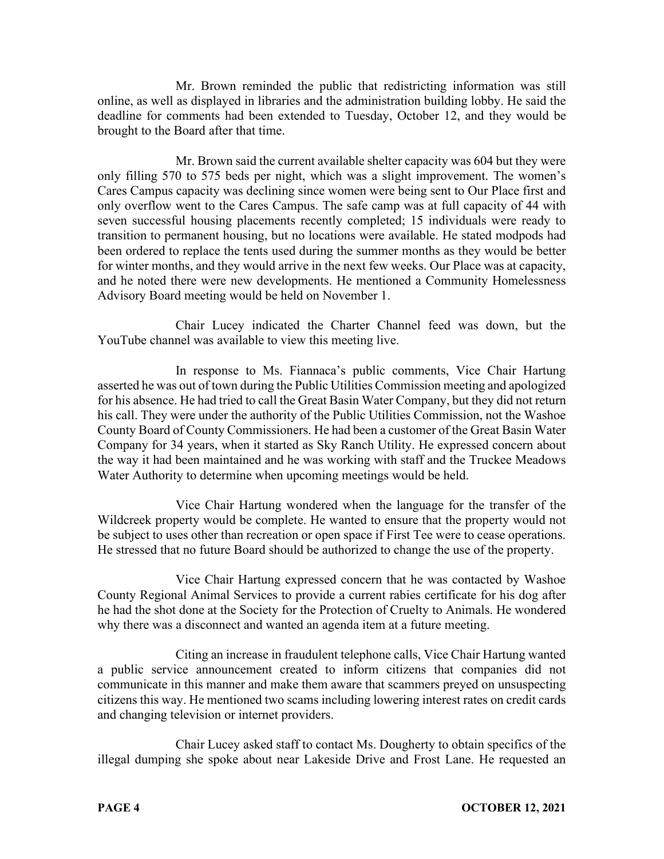Mr. Brown reminded the public that redistricting information was still online, as well as displayed in libraries and the administration building lobby. He said the deadline for comments had been extended to Tuesday, October 12, and they would be brought to the Board after that time.

Mr. Brown said the current available shelter capacity was 604 but they were only filling 570 to 575 beds per night, which was a slight improvement. The women's Cares Campus capacity was declining since women were being sent to Our Place first and only overflow went to the Cares Campus. The safe camp was at full capacity of 44 with seven successful housing placements recently completed; 15 individuals were ready to transition to permanent housing, but no locations were available. He stated modpods had been ordered to replace the tents used during the summer months as they would be better for winter months, and they would arrive in the next few weeks. Our Place was at capacity, and he noted there were new developments. He mentioned a Community Homelessness Advisory Board meeting would be held on November 1.

Chair Lucey indicated the Charter Channel feed was down, but the YouTube channel was available to view this meeting live.

In response to Ms. Fiannaca's public comments, Vice Chair Hartung asserted he was out of town during the Public Utilities Commission meeting and apologized for his absence. He had tried to call the Great Basin Water Company, but they did not return his call. They were under the authority of the Public Utilities Commission, not the Washoe County Board of County Commissioners. He had been a customer of the Great Basin Water Company for 34 years, when it started as Sky Ranch Utility. He expressed concern about the way it had been maintained and he was working with staff and the Truckee Meadows Water Authority to determine when upcoming meetings would be held.

Vice Chair Hartung wondered when the language for the transfer of the Wildcreek property would be complete. He wanted to ensure that the property would not be subject to uses other than recreation or open space if First Tee were to cease operations. He stressed that no future Board should be authorized to change the use of the property.

Vice Chair Hartung expressed concern that he was contacted by Washoe County Regional Animal Services to provide a current rabies certificate for his dog after he had the shot done at the Society for the Protection of Cruelty to Animals. He wondered why there was a disconnect and wanted an agenda item at a future meeting.

Citing an increase in fraudulent telephone calls, Vice Chair Hartung wanted a public service announcement created to inform citizens that companies did not communicate in this manner and make them aware that scammers preyed on unsuspecting citizens this way. He mentioned two scams including lowering interest rates on credit cards and changing television or internet providers.

Chair Lucey asked staff to contact Ms. Dougherty to obtain specifics of the illegal dumping she spoke about near Lakeside Drive and Frost Lane. He requested an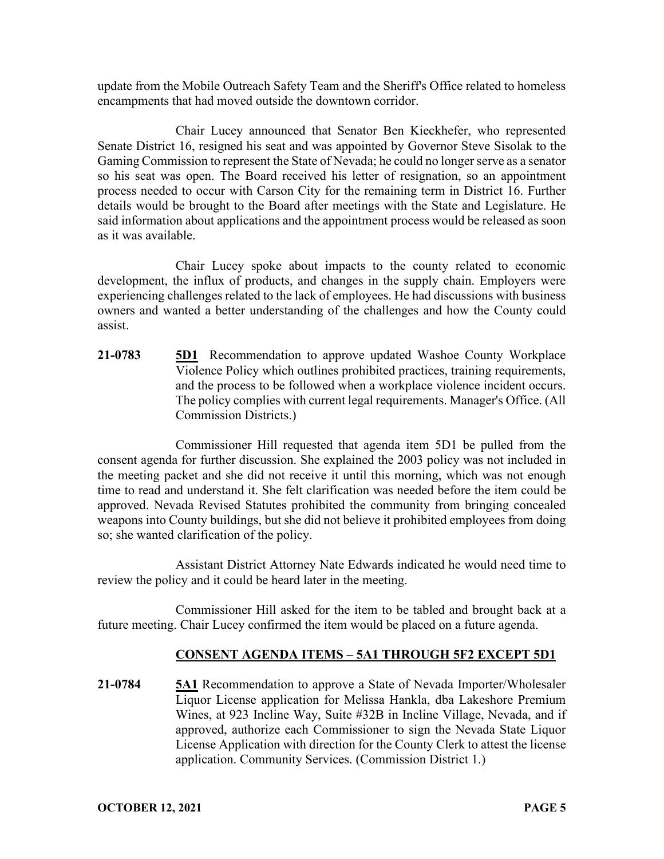update from the Mobile Outreach Safety Team and the Sheriff's Office related to homeless encampments that had moved outside the downtown corridor.

Chair Lucey announced that Senator Ben Kieckhefer, who represented Senate District 16, resigned his seat and was appointed by Governor Steve Sisolak to the Gaming Commission to represent the State of Nevada; he could no longer serve as a senator so his seat was open. The Board received his letter of resignation, so an appointment process needed to occur with Carson City for the remaining term in District 16. Further details would be brought to the Board after meetings with the State and Legislature. He said information about applications and the appointment process would be released as soon as it was available.

Chair Lucey spoke about impacts to the county related to economic development, the influx of products, and changes in the supply chain. Employers were experiencing challenges related to the lack of employees. He had discussions with business owners and wanted a better understanding of the challenges and how the County could assist.

**21-0783 5D1** Recommendation to approve updated Washoe County Workplace Violence Policy which outlines prohibited practices, training requirements, and the process to be followed when a workplace violence incident occurs. The policy complies with current legal requirements. Manager's Office. (All Commission Districts.)

Commissioner Hill requested that agenda item 5D1 be pulled from the consent agenda for further discussion. She explained the 2003 policy was not included in the meeting packet and she did not receive it until this morning, which was not enough time to read and understand it. She felt clarification was needed before the item could be approved. Nevada Revised Statutes prohibited the community from bringing concealed weapons into County buildings, but she did not believe it prohibited employees from doing so; she wanted clarification of the policy.

Assistant District Attorney Nate Edwards indicated he would need time to review the policy and it could be heard later in the meeting.

Commissioner Hill asked for the item to be tabled and brought back at a future meeting. Chair Lucey confirmed the item would be placed on a future agenda.

# **CONSENT AGENDA ITEMS** – **5A1 THROUGH 5F2 EXCEPT 5D1**

**21-0784 5A1** Recommendation to approve a State of Nevada Importer/Wholesaler Liquor License application for Melissa Hankla, dba Lakeshore Premium Wines, at 923 Incline Way, Suite #32B in Incline Village, Nevada, and if approved, authorize each Commissioner to sign the Nevada State Liquor License Application with direction for the County Clerk to attest the license application. Community Services. (Commission District 1.)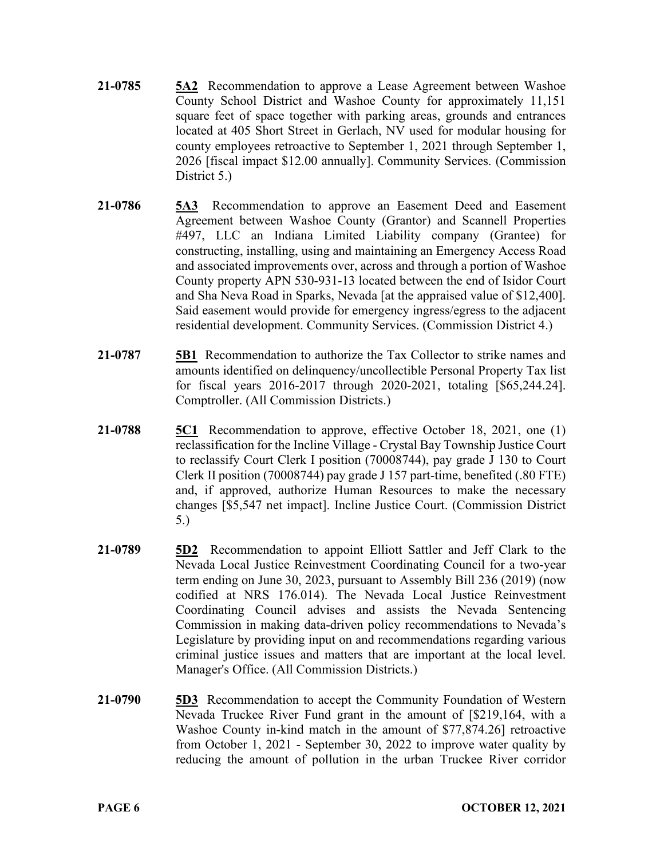- **21-0785 5A2** Recommendation to approve a Lease Agreement between Washoe County School District and Washoe County for approximately 11,151 square feet of space together with parking areas, grounds and entrances located at 405 Short Street in Gerlach, NV used for modular housing for county employees retroactive to September 1, 2021 through September 1, 2026 [fiscal impact \$12.00 annually]. Community Services. (Commission District 5.)
- **21-0786 5A3** Recommendation to approve an Easement Deed and Easement Agreement between Washoe County (Grantor) and Scannell Properties #497, LLC an Indiana Limited Liability company (Grantee) for constructing, installing, using and maintaining an Emergency Access Road and associated improvements over, across and through a portion of Washoe County property APN 530-931-13 located between the end of Isidor Court and Sha Neva Road in Sparks, Nevada [at the appraised value of \$12,400]. Said easement would provide for emergency ingress/egress to the adjacent residential development. Community Services. (Commission District 4.)
- **21-0787 5B1** Recommendation to authorize the Tax Collector to strike names and amounts identified on delinquency/uncollectible Personal Property Tax list for fiscal years 2016-2017 through 2020-2021, totaling [\$65,244.24]. Comptroller. (All Commission Districts.)
- **21-0788 5C1** Recommendation to approve, effective October 18, 2021, one (1) reclassification for the Incline Village - Crystal Bay Township Justice Court to reclassify Court Clerk I position (70008744), pay grade J 130 to Court Clerk II position (70008744) pay grade J 157 part-time, benefited (.80 FTE) and, if approved, authorize Human Resources to make the necessary changes [\$5,547 net impact]. Incline Justice Court. (Commission District 5.)
- **21-0789 5D2** Recommendation to appoint Elliott Sattler and Jeff Clark to the Nevada Local Justice Reinvestment Coordinating Council for a two-year term ending on June 30, 2023, pursuant to Assembly Bill 236 (2019) (now codified at NRS 176.014). The Nevada Local Justice Reinvestment Coordinating Council advises and assists the Nevada Sentencing Commission in making data-driven policy recommendations to Nevada's Legislature by providing input on and recommendations regarding various criminal justice issues and matters that are important at the local level. Manager's Office. (All Commission Districts.)
- **21-0790 5D3** Recommendation to accept the Community Foundation of Western Nevada Truckee River Fund grant in the amount of [\$219,164, with a Washoe County in-kind match in the amount of \$77,874.26] retroactive from October 1, 2021 - September 30, 2022 to improve water quality by reducing the amount of pollution in the urban Truckee River corridor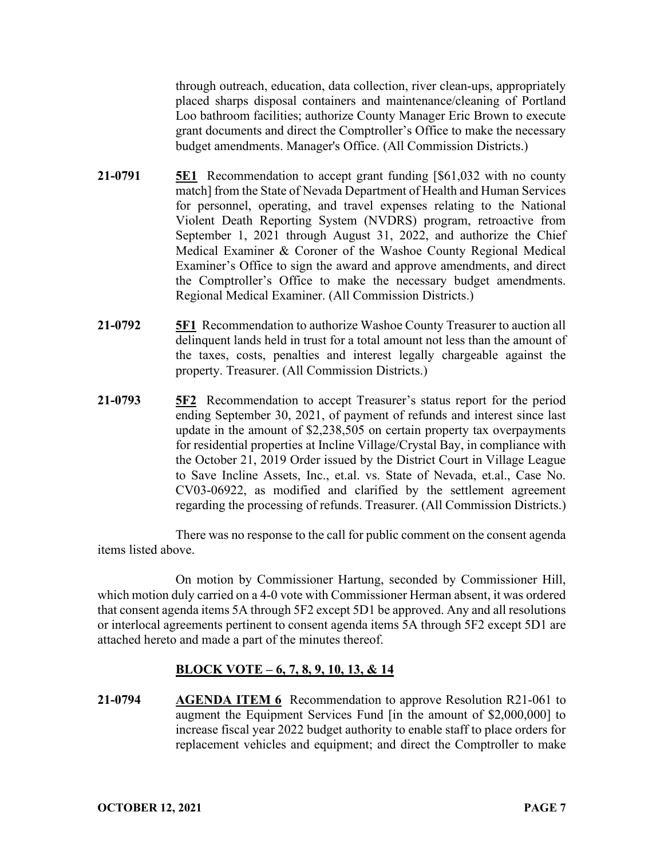through outreach, education, data collection, river clean-ups, appropriately placed sharps disposal containers and maintenance/cleaning of Portland Loo bathroom facilities; authorize County Manager Eric Brown to execute grant documents and direct the Comptroller's Office to make the necessary budget amendments. Manager's Office. (All Commission Districts.)

- **21-0791 5E1** Recommendation to accept grant funding [\$61,032 with no county match] from the State of Nevada Department of Health and Human Services for personnel, operating, and travel expenses relating to the National Violent Death Reporting System (NVDRS) program, retroactive from September 1, 2021 through August 31, 2022, and authorize the Chief Medical Examiner & Coroner of the Washoe County Regional Medical Examiner's Office to sign the award and approve amendments, and direct the Comptroller's Office to make the necessary budget amendments. Regional Medical Examiner. (All Commission Districts.)
- **21-0792 5F1** Recommendation to authorize Washoe County Treasurer to auction all delinquent lands held in trust for a total amount not less than the amount of the taxes, costs, penalties and interest legally chargeable against the property. Treasurer. (All Commission Districts.)
- **21-0793 5F2** Recommendation to accept Treasurer's status report for the period ending September 30, 2021, of payment of refunds and interest since last update in the amount of \$2,238,505 on certain property tax overpayments for residential properties at Incline Village/Crystal Bay, in compliance with the October 21, 2019 Order issued by the District Court in Village League to Save Incline Assets, Inc., et.al. vs. State of Nevada, et.al., Case No. CV03-06922, as modified and clarified by the settlement agreement regarding the processing of refunds. Treasurer. (All Commission Districts.)

There was no response to the call for public comment on the consent agenda items listed above.

On motion by Commissioner Hartung, seconded by Commissioner Hill, which motion duly carried on a 4-0 vote with Commissioner Herman absent, it was ordered that consent agenda items 5A through 5F2 except 5D1 be approved. Any and all resolutions or interlocal agreements pertinent to consent agenda items 5A through 5F2 except 5D1 are attached hereto and made a part of the minutes thereof.

# **BLOCK VOTE – 6, 7, 8, 9, 10, 13, & 14**

**21-0794 AGENDA ITEM 6** Recommendation to approve Resolution R21-061 to augment the Equipment Services Fund [in the amount of \$2,000,000] to increase fiscal year 2022 budget authority to enable staff to place orders for replacement vehicles and equipment; and direct the Comptroller to make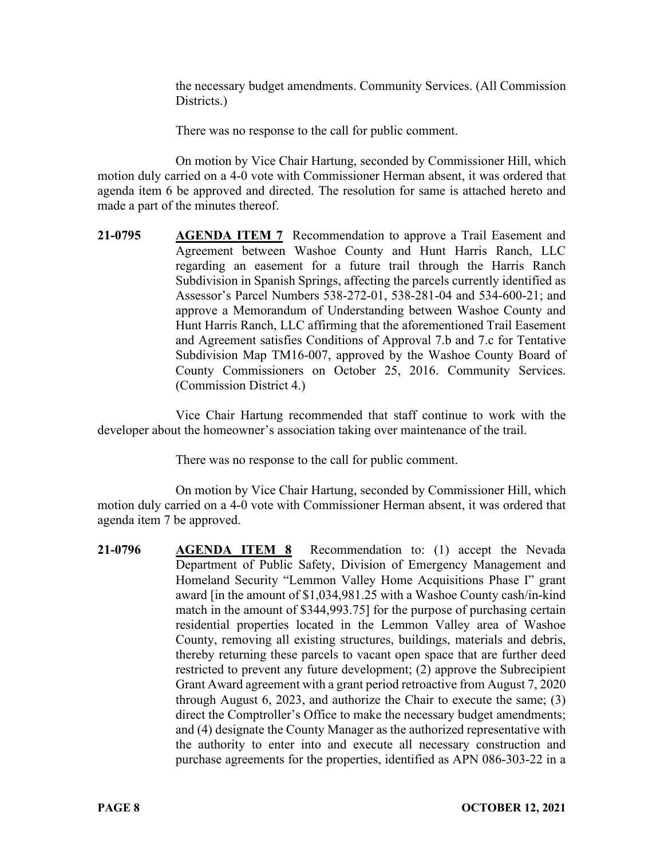the necessary budget amendments. Community Services. (All Commission Districts.)

There was no response to the call for public comment.

On motion by Vice Chair Hartung, seconded by Commissioner Hill, which motion duly carried on a 4-0 vote with Commissioner Herman absent, it was ordered that agenda item 6 be approved and directed. The resolution for same is attached hereto and made a part of the minutes thereof.

**21-0795 AGENDA ITEM 7** Recommendation to approve a Trail Easement and Agreement between Washoe County and Hunt Harris Ranch, LLC regarding an easement for a future trail through the Harris Ranch Subdivision in Spanish Springs, affecting the parcels currently identified as Assessor's Parcel Numbers 538-272-01, 538-281-04 and 534-600-21; and approve a Memorandum of Understanding between Washoe County and Hunt Harris Ranch, LLC affirming that the aforementioned Trail Easement and Agreement satisfies Conditions of Approval 7.b and 7.c for Tentative Subdivision Map TM16-007, approved by the Washoe County Board of County Commissioners on October 25, 2016. Community Services. (Commission District 4.)

Vice Chair Hartung recommended that staff continue to work with the developer about the homeowner's association taking over maintenance of the trail.

There was no response to the call for public comment.

On motion by Vice Chair Hartung, seconded by Commissioner Hill, which motion duly carried on a 4-0 vote with Commissioner Herman absent, it was ordered that agenda item 7 be approved.

**21-0796 AGENDA ITEM 8** Recommendation to: (1) accept the Nevada Department of Public Safety, Division of Emergency Management and Homeland Security "Lemmon Valley Home Acquisitions Phase I" grant award [in the amount of \$1,034,981.25 with a Washoe County cash/in-kind match in the amount of \$344,993.75] for the purpose of purchasing certain residential properties located in the Lemmon Valley area of Washoe County, removing all existing structures, buildings, materials and debris, thereby returning these parcels to vacant open space that are further deed restricted to prevent any future development; (2) approve the Subrecipient Grant Award agreement with a grant period retroactive from August 7, 2020 through August 6, 2023, and authorize the Chair to execute the same; (3) direct the Comptroller's Office to make the necessary budget amendments; and (4) designate the County Manager as the authorized representative with the authority to enter into and execute all necessary construction and purchase agreements for the properties, identified as APN 086-303-22 in a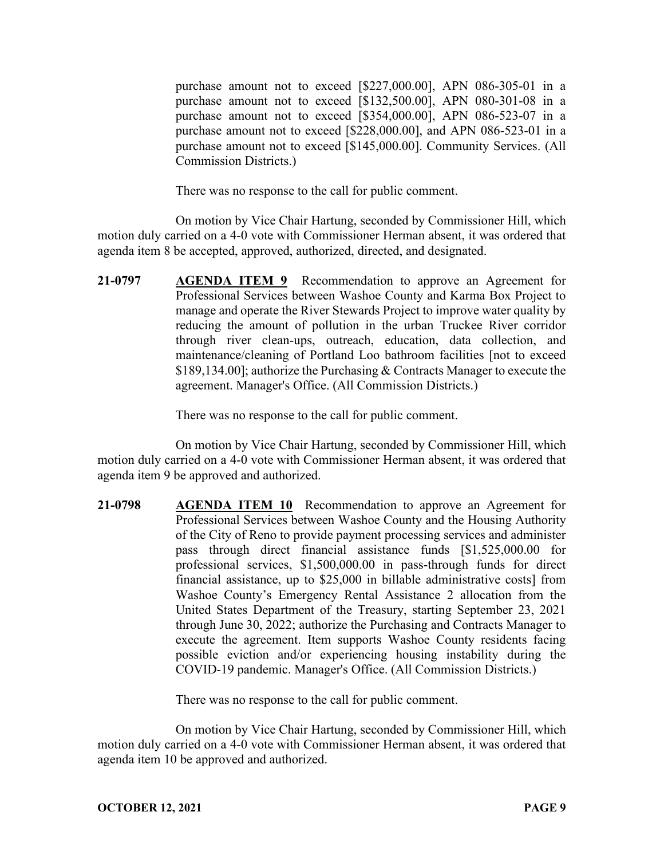purchase amount not to exceed [\$227,000.00], APN 086-305-01 in a purchase amount not to exceed [\$132,500.00], APN 080-301-08 in a purchase amount not to exceed [\$354,000.00], APN 086-523-07 in a purchase amount not to exceed [\$228,000.00], and APN 086-523-01 in a purchase amount not to exceed [\$145,000.00]. Community Services. (All Commission Districts.)

There was no response to the call for public comment.

On motion by Vice Chair Hartung, seconded by Commissioner Hill, which motion duly carried on a 4-0 vote with Commissioner Herman absent, it was ordered that agenda item 8 be accepted, approved, authorized, directed, and designated.

**21-0797 AGENDA ITEM 9** Recommendation to approve an Agreement for Professional Services between Washoe County and Karma Box Project to manage and operate the River Stewards Project to improve water quality by reducing the amount of pollution in the urban Truckee River corridor through river clean-ups, outreach, education, data collection, and maintenance/cleaning of Portland Loo bathroom facilities [not to exceed \$189,134.00]; authorize the Purchasing & Contracts Manager to execute the agreement. Manager's Office. (All Commission Districts.)

There was no response to the call for public comment.

On motion by Vice Chair Hartung, seconded by Commissioner Hill, which motion duly carried on a 4-0 vote with Commissioner Herman absent, it was ordered that agenda item 9 be approved and authorized.

**21-0798 AGENDA ITEM 10** Recommendation to approve an Agreement for Professional Services between Washoe County and the Housing Authority of the City of Reno to provide payment processing services and administer pass through direct financial assistance funds [\$1,525,000.00 for professional services, \$1,500,000.00 in pass-through funds for direct financial assistance, up to \$25,000 in billable administrative costs] from Washoe County's Emergency Rental Assistance 2 allocation from the United States Department of the Treasury, starting September 23, 2021 through June 30, 2022; authorize the Purchasing and Contracts Manager to execute the agreement. Item supports Washoe County residents facing possible eviction and/or experiencing housing instability during the COVID-19 pandemic. Manager's Office. (All Commission Districts.)

There was no response to the call for public comment.

On motion by Vice Chair Hartung, seconded by Commissioner Hill, which motion duly carried on a 4-0 vote with Commissioner Herman absent, it was ordered that agenda item 10 be approved and authorized.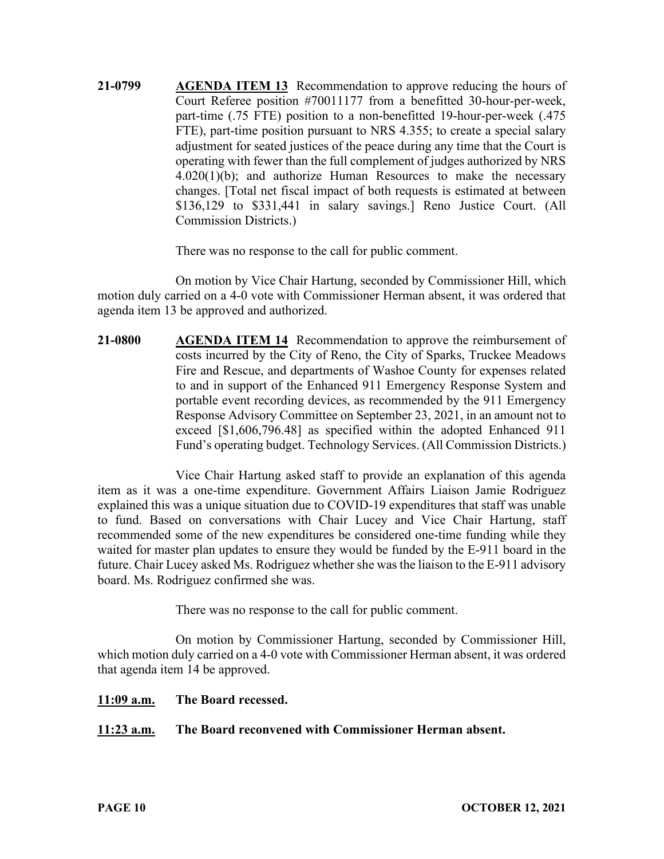**21-0799 AGENDA ITEM 13** Recommendation to approve reducing the hours of Court Referee position #70011177 from a benefitted 30-hour-per-week, part-time (.75 FTE) position to a non-benefitted 19-hour-per-week (.475 FTE), part-time position pursuant to NRS 4.355; to create a special salary adjustment for seated justices of the peace during any time that the Court is operating with fewer than the full complement of judges authorized by NRS 4.020(1)(b); and authorize Human Resources to make the necessary changes. [Total net fiscal impact of both requests is estimated at between \$136,129 to \$331,441 in salary savings.] Reno Justice Court. (All Commission Districts.)

There was no response to the call for public comment.

On motion by Vice Chair Hartung, seconded by Commissioner Hill, which motion duly carried on a 4-0 vote with Commissioner Herman absent, it was ordered that agenda item 13 be approved and authorized.

**21-0800 AGENDA ITEM 14** Recommendation to approve the reimbursement of costs incurred by the City of Reno, the City of Sparks, Truckee Meadows Fire and Rescue, and departments of Washoe County for expenses related to and in support of the Enhanced 911 Emergency Response System and portable event recording devices, as recommended by the 911 Emergency Response Advisory Committee on September 23, 2021, in an amount not to exceed [\$1,606,796.48] as specified within the adopted Enhanced 911 Fund's operating budget. Technology Services. (All Commission Districts.)

Vice Chair Hartung asked staff to provide an explanation of this agenda item as it was a one-time expenditure. Government Affairs Liaison Jamie Rodriguez explained this was a unique situation due to COVID-19 expenditures that staff was unable to fund. Based on conversations with Chair Lucey and Vice Chair Hartung, staff recommended some of the new expenditures be considered one-time funding while they waited for master plan updates to ensure they would be funded by the E-911 board in the future. Chair Lucey asked Ms. Rodriguez whether she was the liaison to the E-911 advisory board. Ms. Rodriguez confirmed she was.

There was no response to the call for public comment.

On motion by Commissioner Hartung, seconded by Commissioner Hill, which motion duly carried on a 4-0 vote with Commissioner Herman absent, it was ordered that agenda item 14 be approved.

#### **11:09 a.m. The Board recessed.**

# **11:23 a.m. The Board reconvened with Commissioner Herman absent.**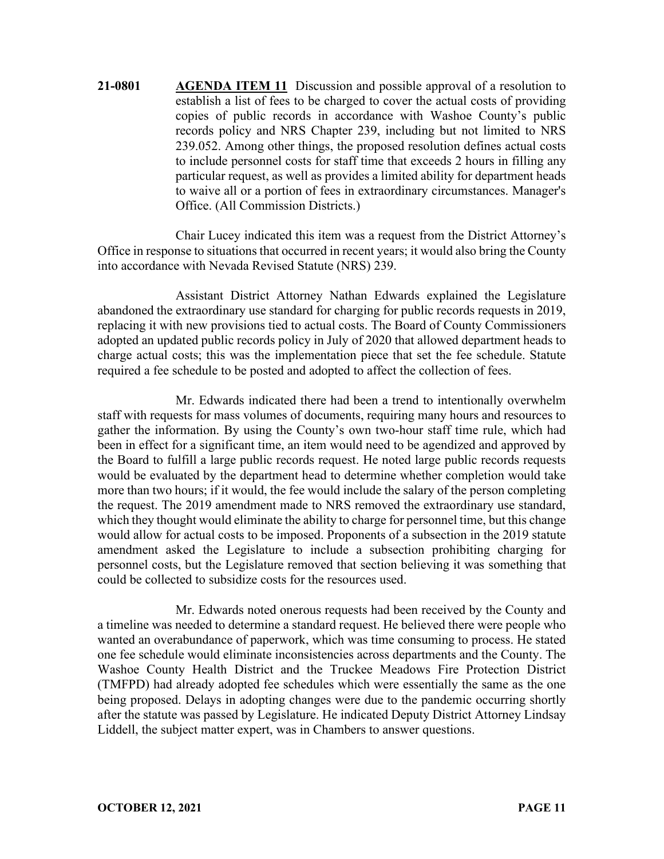**21-0801 AGENDA ITEM 11** Discussion and possible approval of a resolution to establish a list of fees to be charged to cover the actual costs of providing copies of public records in accordance with Washoe County's public records policy and NRS Chapter 239, including but not limited to NRS 239.052. Among other things, the proposed resolution defines actual costs to include personnel costs for staff time that exceeds 2 hours in filling any particular request, as well as provides a limited ability for department heads to waive all or a portion of fees in extraordinary circumstances. Manager's Office. (All Commission Districts.)

Chair Lucey indicated this item was a request from the District Attorney's Office in response to situations that occurred in recent years; it would also bring the County into accordance with Nevada Revised Statute (NRS) 239.

Assistant District Attorney Nathan Edwards explained the Legislature abandoned the extraordinary use standard for charging for public records requests in 2019, replacing it with new provisions tied to actual costs. The Board of County Commissioners adopted an updated public records policy in July of 2020 that allowed department heads to charge actual costs; this was the implementation piece that set the fee schedule. Statute required a fee schedule to be posted and adopted to affect the collection of fees.

Mr. Edwards indicated there had been a trend to intentionally overwhelm staff with requests for mass volumes of documents, requiring many hours and resources to gather the information. By using the County's own two-hour staff time rule, which had been in effect for a significant time, an item would need to be agendized and approved by the Board to fulfill a large public records request. He noted large public records requests would be evaluated by the department head to determine whether completion would take more than two hours; if it would, the fee would include the salary of the person completing the request. The 2019 amendment made to NRS removed the extraordinary use standard, which they thought would eliminate the ability to charge for personnel time, but this change would allow for actual costs to be imposed. Proponents of a subsection in the 2019 statute amendment asked the Legislature to include a subsection prohibiting charging for personnel costs, but the Legislature removed that section believing it was something that could be collected to subsidize costs for the resources used.

Mr. Edwards noted onerous requests had been received by the County and a timeline was needed to determine a standard request. He believed there were people who wanted an overabundance of paperwork, which was time consuming to process. He stated one fee schedule would eliminate inconsistencies across departments and the County. The Washoe County Health District and the Truckee Meadows Fire Protection District (TMFPD) had already adopted fee schedules which were essentially the same as the one being proposed. Delays in adopting changes were due to the pandemic occurring shortly after the statute was passed by Legislature. He indicated Deputy District Attorney Lindsay Liddell, the subject matter expert, was in Chambers to answer questions.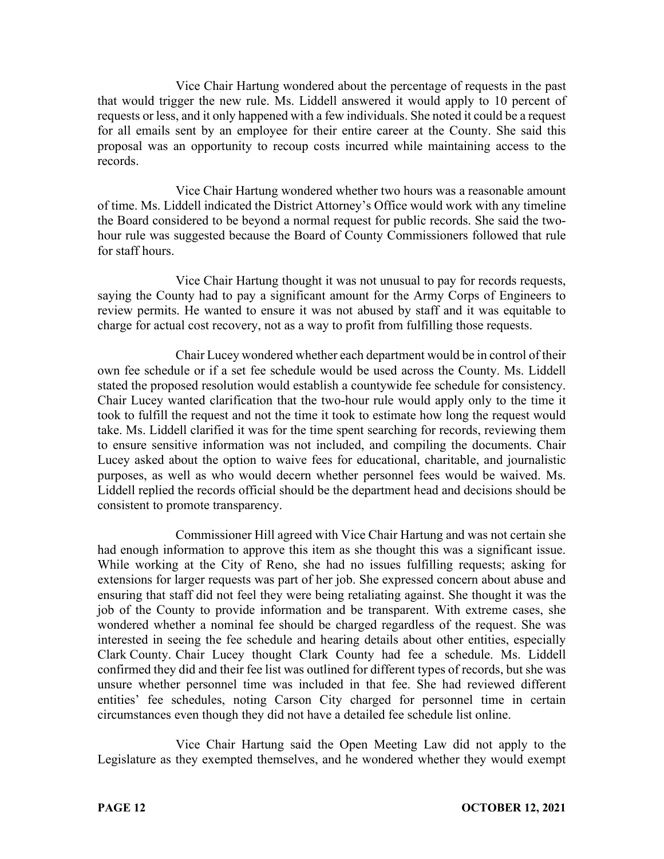Vice Chair Hartung wondered about the percentage of requests in the past that would trigger the new rule. Ms. Liddell answered it would apply to 10 percent of requests or less, and it only happened with a few individuals. She noted it could be a request for all emails sent by an employee for their entire career at the County. She said this proposal was an opportunity to recoup costs incurred while maintaining access to the records.

Vice Chair Hartung wondered whether two hours was a reasonable amount of time. Ms. Liddell indicated the District Attorney's Office would work with any timeline the Board considered to be beyond a normal request for public records. She said the twohour rule was suggested because the Board of County Commissioners followed that rule for staff hours.

Vice Chair Hartung thought it was not unusual to pay for records requests, saying the County had to pay a significant amount for the Army Corps of Engineers to review permits. He wanted to ensure it was not abused by staff and it was equitable to charge for actual cost recovery, not as a way to profit from fulfilling those requests.

Chair Lucey wondered whether each department would be in control of their own fee schedule or if a set fee schedule would be used across the County. Ms. Liddell stated the proposed resolution would establish a countywide fee schedule for consistency. Chair Lucey wanted clarification that the two-hour rule would apply only to the time it took to fulfill the request and not the time it took to estimate how long the request would take. Ms. Liddell clarified it was for the time spent searching for records, reviewing them to ensure sensitive information was not included, and compiling the documents. Chair Lucey asked about the option to waive fees for educational, charitable, and journalistic purposes, as well as who would decern whether personnel fees would be waived. Ms. Liddell replied the records official should be the department head and decisions should be consistent to promote transparency.

Commissioner Hill agreed with Vice Chair Hartung and was not certain she had enough information to approve this item as she thought this was a significant issue. While working at the City of Reno, she had no issues fulfilling requests; asking for extensions for larger requests was part of her job. She expressed concern about abuse and ensuring that staff did not feel they were being retaliating against. She thought it was the job of the County to provide information and be transparent. With extreme cases, she wondered whether a nominal fee should be charged regardless of the request. She was interested in seeing the fee schedule and hearing details about other entities, especially Clark County. Chair Lucey thought Clark County had fee a schedule. Ms. Liddell confirmed they did and their fee list was outlined for different types of records, but she was unsure whether personnel time was included in that fee. She had reviewed different entities' fee schedules, noting Carson City charged for personnel time in certain circumstances even though they did not have a detailed fee schedule list online.

Vice Chair Hartung said the Open Meeting Law did not apply to the Legislature as they exempted themselves, and he wondered whether they would exempt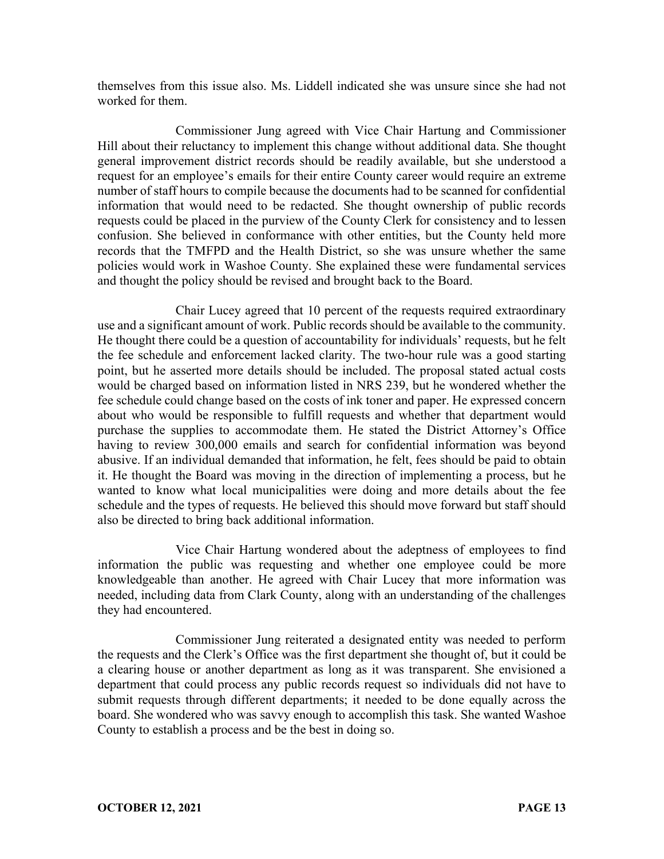themselves from this issue also. Ms. Liddell indicated she was unsure since she had not worked for them.

Commissioner Jung agreed with Vice Chair Hartung and Commissioner Hill about their reluctancy to implement this change without additional data. She thought general improvement district records should be readily available, but she understood a request for an employee's emails for their entire County career would require an extreme number of staff hours to compile because the documents had to be scanned for confidential information that would need to be redacted. She thought ownership of public records requests could be placed in the purview of the County Clerk for consistency and to lessen confusion. She believed in conformance with other entities, but the County held more records that the TMFPD and the Health District, so she was unsure whether the same policies would work in Washoe County. She explained these were fundamental services and thought the policy should be revised and brought back to the Board.

Chair Lucey agreed that 10 percent of the requests required extraordinary use and a significant amount of work. Public records should be available to the community. He thought there could be a question of accountability for individuals' requests, but he felt the fee schedule and enforcement lacked clarity. The two-hour rule was a good starting point, but he asserted more details should be included. The proposal stated actual costs would be charged based on information listed in NRS 239, but he wondered whether the fee schedule could change based on the costs of ink toner and paper. He expressed concern about who would be responsible to fulfill requests and whether that department would purchase the supplies to accommodate them. He stated the District Attorney's Office having to review 300,000 emails and search for confidential information was beyond abusive. If an individual demanded that information, he felt, fees should be paid to obtain it. He thought the Board was moving in the direction of implementing a process, but he wanted to know what local municipalities were doing and more details about the fee schedule and the types of requests. He believed this should move forward but staff should also be directed to bring back additional information.

Vice Chair Hartung wondered about the adeptness of employees to find information the public was requesting and whether one employee could be more knowledgeable than another. He agreed with Chair Lucey that more information was needed, including data from Clark County, along with an understanding of the challenges they had encountered.

Commissioner Jung reiterated a designated entity was needed to perform the requests and the Clerk's Office was the first department she thought of, but it could be a clearing house or another department as long as it was transparent. She envisioned a department that could process any public records request so individuals did not have to submit requests through different departments; it needed to be done equally across the board. She wondered who was savvy enough to accomplish this task. She wanted Washoe County to establish a process and be the best in doing so.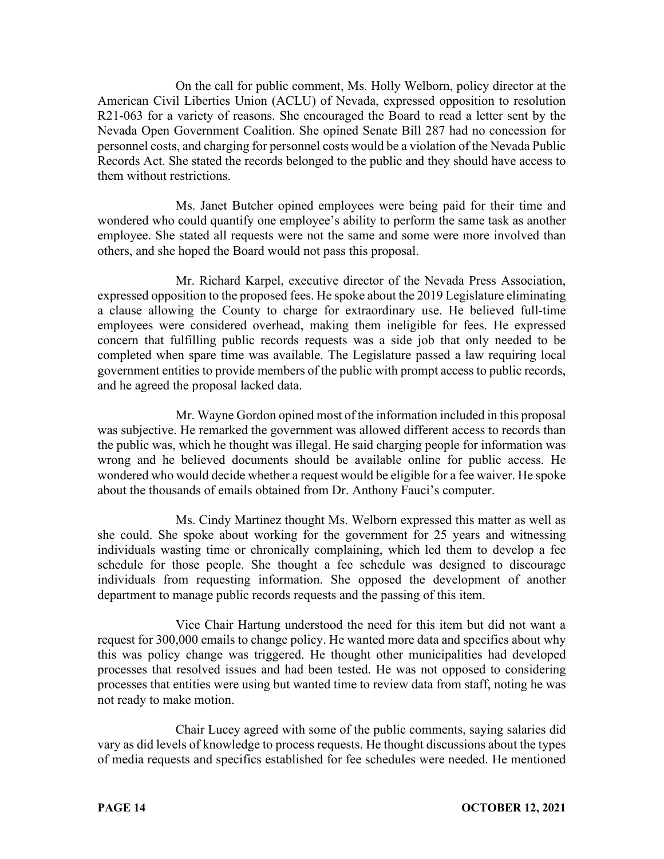On the call for public comment, Ms. Holly Welborn, policy director at the American Civil Liberties Union (ACLU) of Nevada, expressed opposition to resolution R21-063 for a variety of reasons. She encouraged the Board to read a letter sent by the Nevada Open Government Coalition. She opined Senate Bill 287 had no concession for personnel costs, and charging for personnel costs would be a violation of the Nevada Public Records Act. She stated the records belonged to the public and they should have access to them without restrictions.

Ms. Janet Butcher opined employees were being paid for their time and wondered who could quantify one employee's ability to perform the same task as another employee. She stated all requests were not the same and some were more involved than others, and she hoped the Board would not pass this proposal.

Mr. Richard Karpel, executive director of the Nevada Press Association, expressed opposition to the proposed fees. He spoke about the 2019 Legislature eliminating a clause allowing the County to charge for extraordinary use. He believed full-time employees were considered overhead, making them ineligible for fees. He expressed concern that fulfilling public records requests was a side job that only needed to be completed when spare time was available. The Legislature passed a law requiring local government entities to provide members of the public with prompt access to public records, and he agreed the proposal lacked data.

Mr. Wayne Gordon opined most of the information included in this proposal was subjective. He remarked the government was allowed different access to records than the public was, which he thought was illegal. He said charging people for information was wrong and he believed documents should be available online for public access. He wondered who would decide whether a request would be eligible for a fee waiver. He spoke about the thousands of emails obtained from Dr. Anthony Fauci's computer.

Ms. Cindy Martinez thought Ms. Welborn expressed this matter as well as she could. She spoke about working for the government for 25 years and witnessing individuals wasting time or chronically complaining, which led them to develop a fee schedule for those people. She thought a fee schedule was designed to discourage individuals from requesting information. She opposed the development of another department to manage public records requests and the passing of this item.

Vice Chair Hartung understood the need for this item but did not want a request for 300,000 emails to change policy. He wanted more data and specifics about why this was policy change was triggered. He thought other municipalities had developed processes that resolved issues and had been tested. He was not opposed to considering processes that entities were using but wanted time to review data from staff, noting he was not ready to make motion.

Chair Lucey agreed with some of the public comments, saying salaries did vary as did levels of knowledge to process requests. He thought discussions about the types of media requests and specifics established for fee schedules were needed. He mentioned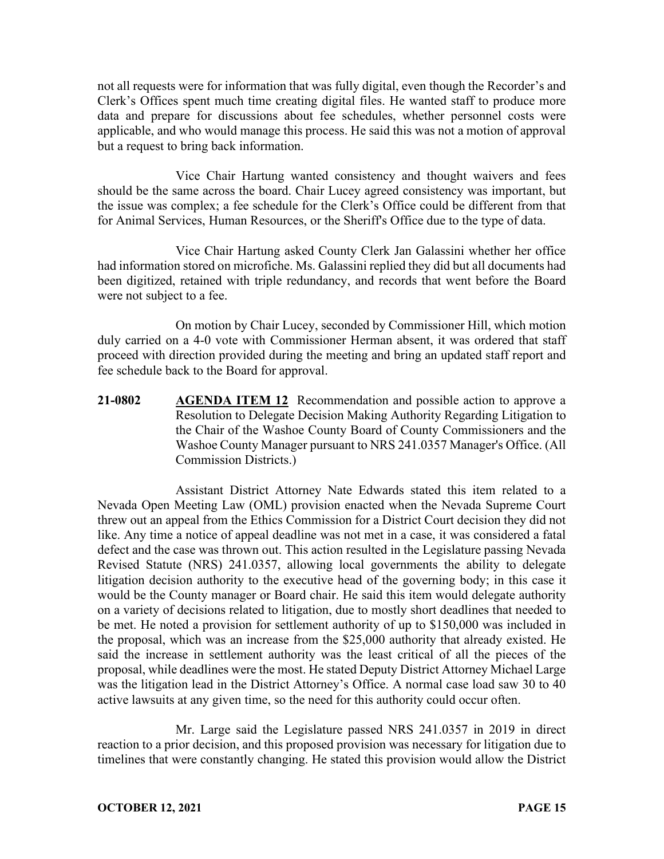not all requests were for information that was fully digital, even though the Recorder's and Clerk's Offices spent much time creating digital files. He wanted staff to produce more data and prepare for discussions about fee schedules, whether personnel costs were applicable, and who would manage this process. He said this was not a motion of approval but a request to bring back information.

Vice Chair Hartung wanted consistency and thought waivers and fees should be the same across the board. Chair Lucey agreed consistency was important, but the issue was complex; a fee schedule for the Clerk's Office could be different from that for Animal Services, Human Resources, or the Sheriff's Office due to the type of data.

Vice Chair Hartung asked County Clerk Jan Galassini whether her office had information stored on microfiche. Ms. Galassini replied they did but all documents had been digitized, retained with triple redundancy, and records that went before the Board were not subject to a fee.

On motion by Chair Lucey, seconded by Commissioner Hill, which motion duly carried on a 4-0 vote with Commissioner Herman absent, it was ordered that staff proceed with direction provided during the meeting and bring an updated staff report and fee schedule back to the Board for approval.

**21-0802 AGENDA ITEM 12** Recommendation and possible action to approve a Resolution to Delegate Decision Making Authority Regarding Litigation to the Chair of the Washoe County Board of County Commissioners and the Washoe County Manager pursuant to NRS 241.0357 Manager's Office. (All Commission Districts.)

Assistant District Attorney Nate Edwards stated this item related to a Nevada Open Meeting Law (OML) provision enacted when the Nevada Supreme Court threw out an appeal from the Ethics Commission for a District Court decision they did not like. Any time a notice of appeal deadline was not met in a case, it was considered a fatal defect and the case was thrown out. This action resulted in the Legislature passing Nevada Revised Statute (NRS) 241.0357, allowing local governments the ability to delegate litigation decision authority to the executive head of the governing body; in this case it would be the County manager or Board chair. He said this item would delegate authority on a variety of decisions related to litigation, due to mostly short deadlines that needed to be met. He noted a provision for settlement authority of up to \$150,000 was included in the proposal, which was an increase from the \$25,000 authority that already existed. He said the increase in settlement authority was the least critical of all the pieces of the proposal, while deadlines were the most. He stated Deputy District Attorney Michael Large was the litigation lead in the District Attorney's Office. A normal case load saw 30 to 40 active lawsuits at any given time, so the need for this authority could occur often.

Mr. Large said the Legislature passed NRS 241.0357 in 2019 in direct reaction to a prior decision, and this proposed provision was necessary for litigation due to timelines that were constantly changing. He stated this provision would allow the District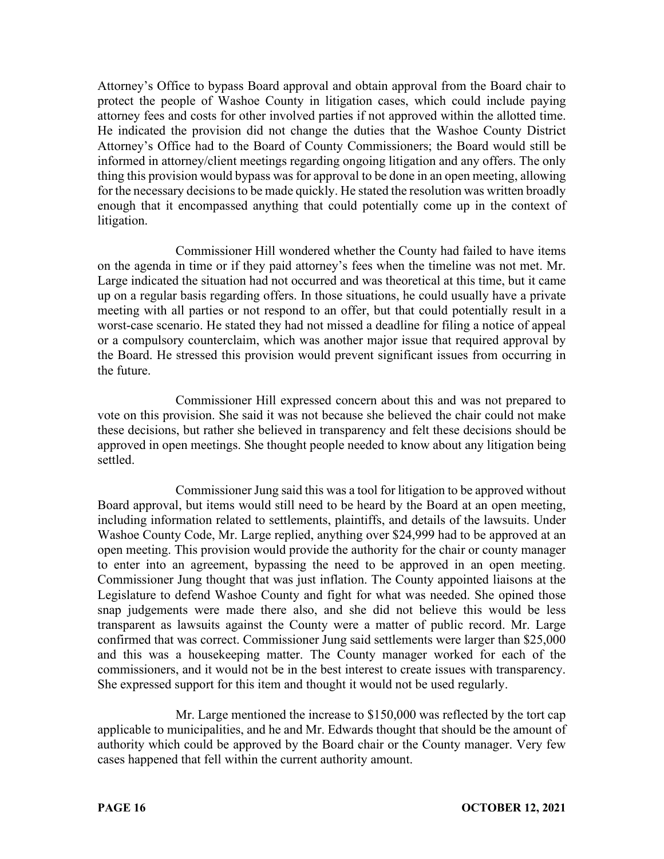Attorney's Office to bypass Board approval and obtain approval from the Board chair to protect the people of Washoe County in litigation cases, which could include paying attorney fees and costs for other involved parties if not approved within the allotted time. He indicated the provision did not change the duties that the Washoe County District Attorney's Office had to the Board of County Commissioners; the Board would still be informed in attorney/client meetings regarding ongoing litigation and any offers. The only thing this provision would bypass was for approval to be done in an open meeting, allowing for the necessary decisions to be made quickly. He stated the resolution was written broadly enough that it encompassed anything that could potentially come up in the context of litigation.

Commissioner Hill wondered whether the County had failed to have items on the agenda in time or if they paid attorney's fees when the timeline was not met. Mr. Large indicated the situation had not occurred and was theoretical at this time, but it came up on a regular basis regarding offers. In those situations, he could usually have a private meeting with all parties or not respond to an offer, but that could potentially result in a worst-case scenario. He stated they had not missed a deadline for filing a notice of appeal or a compulsory counterclaim, which was another major issue that required approval by the Board. He stressed this provision would prevent significant issues from occurring in the future.

Commissioner Hill expressed concern about this and was not prepared to vote on this provision. She said it was not because she believed the chair could not make these decisions, but rather she believed in transparency and felt these decisions should be approved in open meetings. She thought people needed to know about any litigation being settled.

Commissioner Jung said this was a tool for litigation to be approved without Board approval, but items would still need to be heard by the Board at an open meeting, including information related to settlements, plaintiffs, and details of the lawsuits. Under Washoe County Code, Mr. Large replied, anything over \$24,999 had to be approved at an open meeting. This provision would provide the authority for the chair or county manager to enter into an agreement, bypassing the need to be approved in an open meeting. Commissioner Jung thought that was just inflation. The County appointed liaisons at the Legislature to defend Washoe County and fight for what was needed. She opined those snap judgements were made there also, and she did not believe this would be less transparent as lawsuits against the County were a matter of public record. Mr. Large confirmed that was correct. Commissioner Jung said settlements were larger than \$25,000 and this was a housekeeping matter. The County manager worked for each of the commissioners, and it would not be in the best interest to create issues with transparency. She expressed support for this item and thought it would not be used regularly.

Mr. Large mentioned the increase to \$150,000 was reflected by the tort cap applicable to municipalities, and he and Mr. Edwards thought that should be the amount of authority which could be approved by the Board chair or the County manager. Very few cases happened that fell within the current authority amount.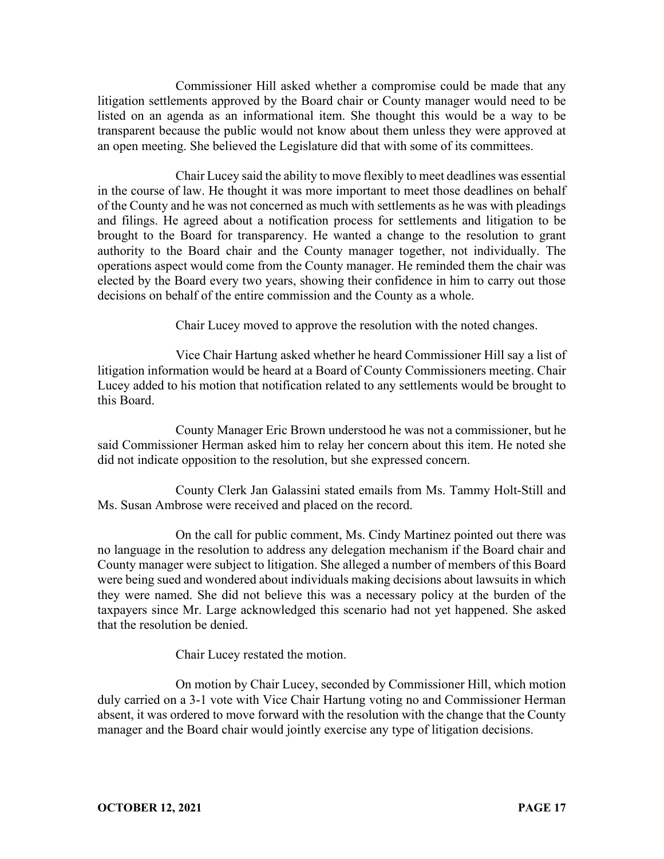Commissioner Hill asked whether a compromise could be made that any litigation settlements approved by the Board chair or County manager would need to be listed on an agenda as an informational item. She thought this would be a way to be transparent because the public would not know about them unless they were approved at an open meeting. She believed the Legislature did that with some of its committees.

Chair Lucey said the ability to move flexibly to meet deadlines was essential in the course of law. He thought it was more important to meet those deadlines on behalf of the County and he was not concerned as much with settlements as he was with pleadings and filings. He agreed about a notification process for settlements and litigation to be brought to the Board for transparency. He wanted a change to the resolution to grant authority to the Board chair and the County manager together, not individually. The operations aspect would come from the County manager. He reminded them the chair was elected by the Board every two years, showing their confidence in him to carry out those decisions on behalf of the entire commission and the County as a whole.

Chair Lucey moved to approve the resolution with the noted changes.

Vice Chair Hartung asked whether he heard Commissioner Hill say a list of litigation information would be heard at a Board of County Commissioners meeting. Chair Lucey added to his motion that notification related to any settlements would be brought to this Board.

County Manager Eric Brown understood he was not a commissioner, but he said Commissioner Herman asked him to relay her concern about this item. He noted she did not indicate opposition to the resolution, but she expressed concern.

County Clerk Jan Galassini stated emails from Ms. Tammy Holt-Still and Ms. Susan Ambrose were received and placed on the record.

On the call for public comment, Ms. Cindy Martinez pointed out there was no language in the resolution to address any delegation mechanism if the Board chair and County manager were subject to litigation. She alleged a number of members of this Board were being sued and wondered about individuals making decisions about lawsuits in which they were named. She did not believe this was a necessary policy at the burden of the taxpayers since Mr. Large acknowledged this scenario had not yet happened. She asked that the resolution be denied.

Chair Lucey restated the motion.

On motion by Chair Lucey, seconded by Commissioner Hill, which motion duly carried on a 3-1 vote with Vice Chair Hartung voting no and Commissioner Herman absent, it was ordered to move forward with the resolution with the change that the County manager and the Board chair would jointly exercise any type of litigation decisions.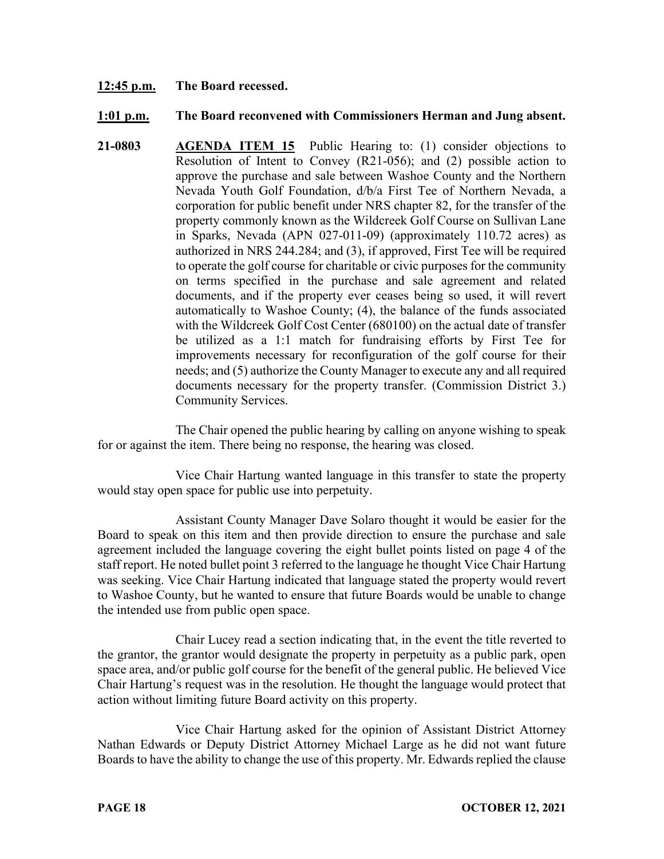#### **12:45 p.m. The Board recessed.**

#### **1:01 p.m. The Board reconvened with Commissioners Herman and Jung absent.**

**21-0803 AGENDA ITEM 15** Public Hearing to: (1) consider objections to Resolution of Intent to Convey (R21-056); and (2) possible action to approve the purchase and sale between Washoe County and the Northern Nevada Youth Golf Foundation, d/b/a First Tee of Northern Nevada, a corporation for public benefit under NRS chapter 82, for the transfer of the property commonly known as the Wildcreek Golf Course on Sullivan Lane in Sparks, Nevada (APN 027-011-09) (approximately 110.72 acres) as authorized in NRS 244.284; and (3), if approved, First Tee will be required to operate the golf course for charitable or civic purposes for the community on terms specified in the purchase and sale agreement and related documents, and if the property ever ceases being so used, it will revert automatically to Washoe County; (4), the balance of the funds associated with the Wildcreek Golf Cost Center (680100) on the actual date of transfer be utilized as a 1:1 match for fundraising efforts by First Tee for improvements necessary for reconfiguration of the golf course for their needs; and (5) authorize the County Manager to execute any and all required documents necessary for the property transfer. (Commission District 3.) Community Services.

The Chair opened the public hearing by calling on anyone wishing to speak for or against the item. There being no response, the hearing was closed.

Vice Chair Hartung wanted language in this transfer to state the property would stay open space for public use into perpetuity.

Assistant County Manager Dave Solaro thought it would be easier for the Board to speak on this item and then provide direction to ensure the purchase and sale agreement included the language covering the eight bullet points listed on page 4 of the staff report. He noted bullet point 3 referred to the language he thought Vice Chair Hartung was seeking. Vice Chair Hartung indicated that language stated the property would revert to Washoe County, but he wanted to ensure that future Boards would be unable to change the intended use from public open space.

Chair Lucey read a section indicating that, in the event the title reverted to the grantor, the grantor would designate the property in perpetuity as a public park, open space area, and/or public golf course for the benefit of the general public. He believed Vice Chair Hartung's request was in the resolution. He thought the language would protect that action without limiting future Board activity on this property.

Vice Chair Hartung asked for the opinion of Assistant District Attorney Nathan Edwards or Deputy District Attorney Michael Large as he did not want future Boards to have the ability to change the use of this property. Mr. Edwards replied the clause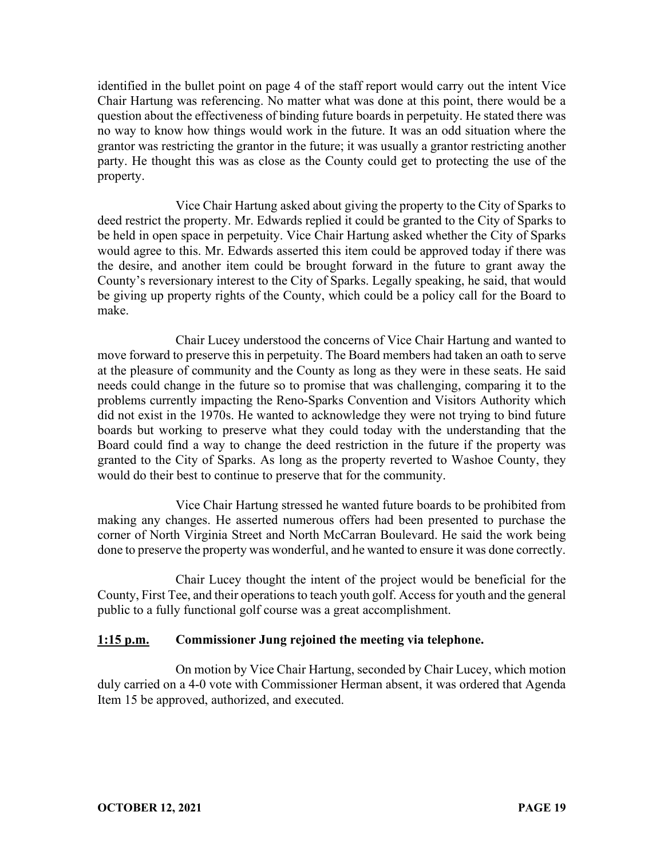identified in the bullet point on page 4 of the staff report would carry out the intent Vice Chair Hartung was referencing. No matter what was done at this point, there would be a question about the effectiveness of binding future boards in perpetuity. He stated there was no way to know how things would work in the future. It was an odd situation where the grantor was restricting the grantor in the future; it was usually a grantor restricting another party. He thought this was as close as the County could get to protecting the use of the property.

Vice Chair Hartung asked about giving the property to the City of Sparks to deed restrict the property. Mr. Edwards replied it could be granted to the City of Sparks to be held in open space in perpetuity. Vice Chair Hartung asked whether the City of Sparks would agree to this. Mr. Edwards asserted this item could be approved today if there was the desire, and another item could be brought forward in the future to grant away the County's reversionary interest to the City of Sparks. Legally speaking, he said, that would be giving up property rights of the County, which could be a policy call for the Board to make.

Chair Lucey understood the concerns of Vice Chair Hartung and wanted to move forward to preserve this in perpetuity. The Board members had taken an oath to serve at the pleasure of community and the County as long as they were in these seats. He said needs could change in the future so to promise that was challenging, comparing it to the problems currently impacting the Reno-Sparks Convention and Visitors Authority which did not exist in the 1970s. He wanted to acknowledge they were not trying to bind future boards but working to preserve what they could today with the understanding that the Board could find a way to change the deed restriction in the future if the property was granted to the City of Sparks. As long as the property reverted to Washoe County, they would do their best to continue to preserve that for the community.

Vice Chair Hartung stressed he wanted future boards to be prohibited from making any changes. He asserted numerous offers had been presented to purchase the corner of North Virginia Street and North McCarran Boulevard. He said the work being done to preserve the property was wonderful, and he wanted to ensure it was done correctly.

Chair Lucey thought the intent of the project would be beneficial for the County, First Tee, and their operations to teach youth golf. Access for youth and the general public to a fully functional golf course was a great accomplishment.

#### **1:15 p.m. Commissioner Jung rejoined the meeting via telephone.**

On motion by Vice Chair Hartung, seconded by Chair Lucey, which motion duly carried on a 4-0 vote with Commissioner Herman absent, it was ordered that Agenda Item 15 be approved, authorized, and executed.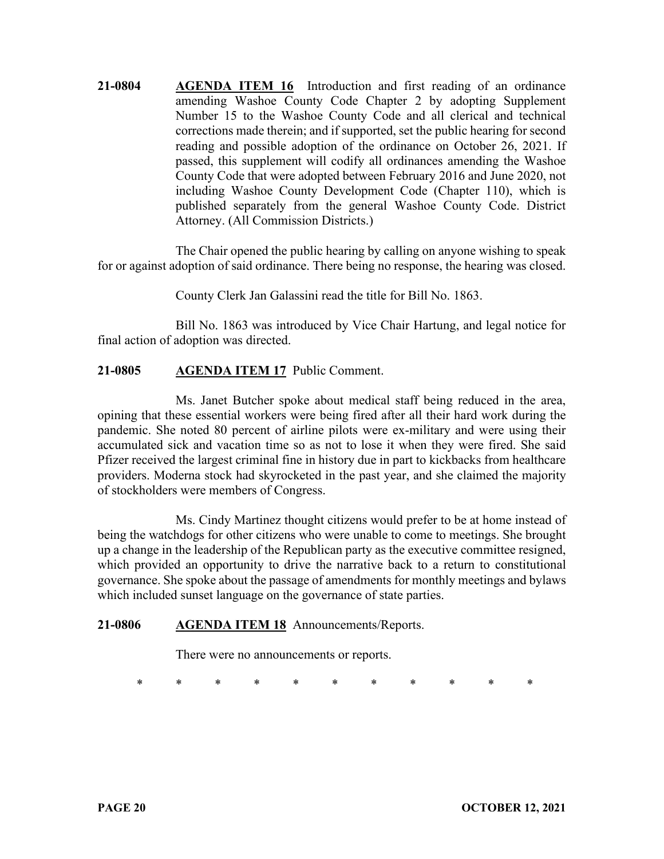**21-0804 AGENDA ITEM 16** Introduction and first reading of an ordinance amending Washoe County Code Chapter 2 by adopting Supplement Number 15 to the Washoe County Code and all clerical and technical corrections made therein; and if supported, set the public hearing for second reading and possible adoption of the ordinance on October 26, 2021. If passed, this supplement will codify all ordinances amending the Washoe County Code that were adopted between February 2016 and June 2020, not including Washoe County Development Code (Chapter 110), which is published separately from the general Washoe County Code. District Attorney. (All Commission Districts.)

The Chair opened the public hearing by calling on anyone wishing to speak for or against adoption of said ordinance. There being no response, the hearing was closed.

County Clerk Jan Galassini read the title for Bill No. 1863.

Bill No. 1863 was introduced by Vice Chair Hartung, and legal notice for final action of adoption was directed.

# **21-0805 AGENDA ITEM 17** Public Comment.

Ms. Janet Butcher spoke about medical staff being reduced in the area, opining that these essential workers were being fired after all their hard work during the pandemic. She noted 80 percent of airline pilots were ex-military and were using their accumulated sick and vacation time so as not to lose it when they were fired. She said Pfizer received the largest criminal fine in history due in part to kickbacks from healthcare providers. Moderna stock had skyrocketed in the past year, and she claimed the majority of stockholders were members of Congress.

Ms. Cindy Martinez thought citizens would prefer to be at home instead of being the watchdogs for other citizens who were unable to come to meetings. She brought up a change in the leadership of the Republican party as the executive committee resigned, which provided an opportunity to drive the narrative back to a return to constitutional governance. She spoke about the passage of amendments for monthly meetings and bylaws which included sunset language on the governance of state parties.

#### **21-0806 AGENDA ITEM 18** Announcements/Reports.

There were no announcements or reports.

\* \* \* \* \* \* \* \* \* \* \*